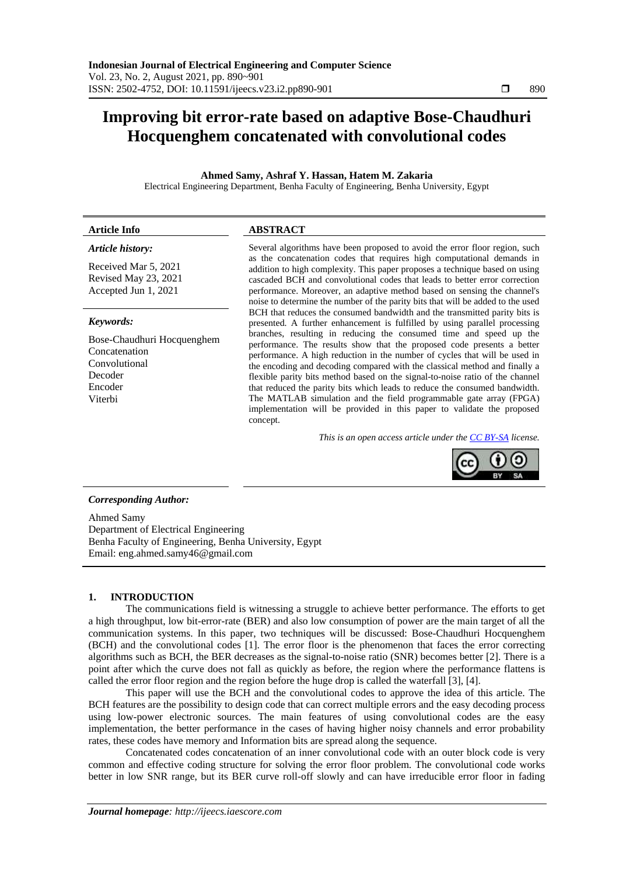# **Improving bit error-rate based on adaptive Bose-Chaudhuri Hocquenghem concatenated with convolutional codes**

**Ahmed Samy, Ashraf Y. Hassan, Hatem M. Zakaria**

Electrical Engineering Department, Benha Faculty of Engineering, Benha University, Egypt

## **Article Info ABSTRACT**

## *Article history:*

Received Mar 5, 2021 Revised May 23, 2021 Accepted Jun 1, 2021

#### *Keywords:*

Bose-Chaudhuri Hocquenghem Concatenation Convolutional Decoder Encoder Viterbi

Several algorithms have been proposed to avoid the error floor region, such as the concatenation codes that requires high computational demands in addition to high complexity. This paper proposes a technique based on using cascaded BCH and convolutional codes that leads to better error correction performance. Moreover, an adaptive method based on sensing the channel's noise to determine the number of the parity bits that will be added to the used BCH that reduces the consumed bandwidth and the transmitted parity bits is presented. A further enhancement is fulfilled by using parallel processing branches, resulting in reducing the consumed time and speed up the performance. The results show that the proposed code presents a better performance. A high reduction in the number of cycles that will be used in the encoding and decoding compared with the classical method and finally a flexible parity bits method based on the signal-to-noise ratio of the channel that reduced the parity bits which leads to reduce the consumed bandwidth. The MATLAB simulation and the field programmable gate array (FPGA) implementation will be provided in this paper to validate the proposed concept.

*This is an open access article under the [CC BY-SA](https://creativecommons.org/licenses/by-sa/4.0/) license.*



# *Corresponding Author:*

Ahmed Samy Department of Electrical Engineering Benha Faculty of Engineering, Benha University, Egypt Email: eng.ahmed.samy46@gmail.com

# **1. INTRODUCTION**

The communications field is witnessing a struggle to achieve better performance. The efforts to get a high throughput, low bit-error-rate (BER) and also low consumption of power are the main target of all the communication systems. In this paper, two techniques will be discussed: Bose-Chaudhuri Hocquenghem (BCH) and the convolutional codes [1]. The error floor is the phenomenon that faces the [error correcting](https://en.wikipedia.org/wiki/Error_correcting_codes)  [algorithms](https://en.wikipedia.org/wiki/Error_correcting_codes) such as BCH, the BER decreases as the signal-to-noise ratio [\(SNR\)](https://en.wikipedia.org/wiki/Signal-to-noise_ratio) becomes better [2]. There is a point after which the curve does not fall as quickly as before, the region where the performance flattens is called the error floor region and the region before the huge drop is called the waterfall [3], [4].

This paper will use the BCH and the convolutional codes to approve the idea of this article. The BCH features are the possibility to design code that can correct multiple errors and the easy decoding process using low-power electronic sources. The main features of using convolutional codes are the easy implementation, the better performance in the cases of having higher noisy channels and error probability rates, these codes have memory and Information bits are spread along the sequence.

Concatenated codes concatenation of an inner convolutional code with an outer block code is very common and effective coding structure for solving the error floor problem. The convolutional code works better in low SNR range, but its BER curve roll-off slowly and can have irreducible error floor in fading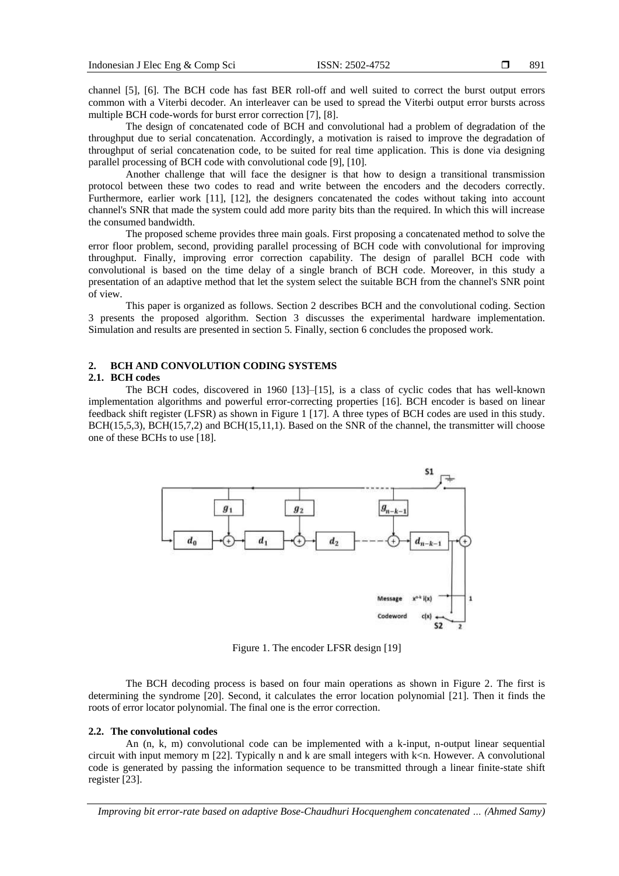channel [5], [6]. The BCH code has fast BER roll-off and well suited to correct the burst output errors common with a Viterbi decoder. An interleaver can be used to spread the Viterbi output error bursts across multiple BCH code-words for burst error correction [7], [8].

The design of concatenated code of BCH and convolutional had a problem of degradation of the throughput due to serial concatenation. Accordingly, a motivation is raised to improve the degradation of throughput of serial concatenation code, to be suited for real time application. This is done via designing parallel processing of BCH code with convolutional code [9], [10].

Another challenge that will face the designer is that how to design a transitional transmission protocol between these two codes to read and write between the encoders and the decoders correctly. Furthermore, earlier work [11], [12], the designers concatenated the codes without taking into account channel's SNR that made the system could add more parity bits than the required. In which this will increase the consumed bandwidth.

The proposed scheme provides three main goals. First proposing a concatenated method to solve the error floor problem, second, providing parallel processing of BCH code with convolutional for improving throughput. Finally, improving error correction capability. The design of parallel BCH code with convolutional is based on the time delay of a single branch of BCH code. Moreover, in this study a presentation of an adaptive method that let the system select the suitable BCH from the channel's SNR point of view.

This paper is organized as follows. Section 2 describes BCH and the convolutional coding. Section 3 presents the proposed algorithm. Section 3 discusses the experimental hardware implementation. Simulation and results are presented in section 5. Finally, section 6 concludes the proposed work.

# **2. BCH AND CONVOLUTION CODING SYSTEMS**

# **2.1. BCH codes**

The BCH codes, discovered in 1960 [13]–[15], is a class of cyclic codes that has well-known implementation algorithms and powerful error-correcting properties [16]. BCH encoder is based on linear feedback shift register (LFSR) as shown in Figure 1 [17]. A three types of BCH codes are used in this study. BCH(15,5,3), BCH(15,7,2) and BCH(15,11,1). Based on the SNR of the channel, the transmitter will choose one of these BCHs to use [18].



Figure 1. The encoder LFSR design [19]

The BCH decoding process is based on four main operations as shown in Figure 2. The first is determining the syndrome [20]. Second, it calculates the error location polynomial [21]. Then it finds the roots of error locator polynomial. The final one is the error correction.

## **2.2. The convolutional codes**

An (n, k, m) convolutional code can be implemented with a k-input, n-output linear sequential circuit with input memory m  $[22]$ . Typically n and k are small integers with  $k\leq n$ . However. A convolutional code is generated by passing the information sequence to be transmitted through a linear finite-state shift register [23].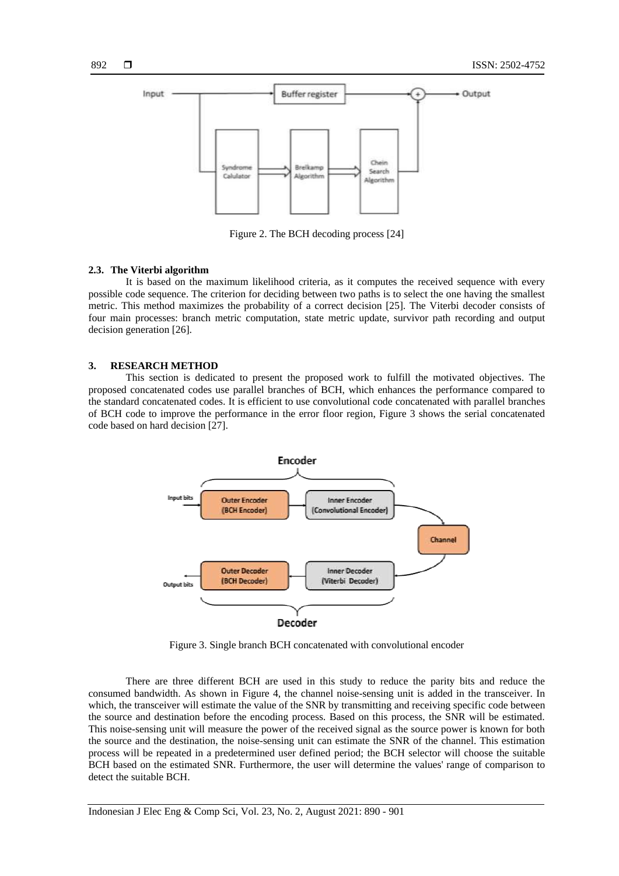

Figure 2. The BCH decoding process [24]

#### **2.3. The Viterbi algorithm**

It is based on the maximum likelihood criteria, as it computes the received sequence with every possible code sequence. The criterion for deciding between two paths is to select the one having the smallest metric. This method maximizes the probability of a correct decision [25]. The Viterbi decoder consists of four main processes: branch metric computation, state metric update, survivor path recording and output decision generation [26].

#### **3. RESEARCH METHOD**

This section is dedicated to present the proposed work to fulfill the motivated objectives. The proposed concatenated codes use parallel branches of BCH, which enhances the performance compared to the standard concatenated codes. It is efficient to use convolutional code concatenated with parallel branches of BCH code to improve the performance in the error floor region, Figure 3 shows the serial concatenated code based on hard decision [27].



Figure 3. Single branch BCH concatenated with convolutional encoder

There are three different BCH are used in this study to reduce the parity bits and reduce the consumed bandwidth. As shown in Figure 4, the channel noise-sensing unit is added in the transceiver. In which, the transceiver will estimate the value of the SNR by transmitting and receiving specific code between the source and destination before the encoding process. Based on this process, the SNR will be estimated. This noise-sensing unit will measure the power of the received signal as the source power is known for both the source and the destination, the noise-sensing unit can estimate the SNR of the channel. This estimation process will be repeated in a predetermined user defined period; the BCH selector will choose the suitable BCH based on the estimated SNR. Furthermore, the user will determine the values' range of comparison to detect the suitable BCH.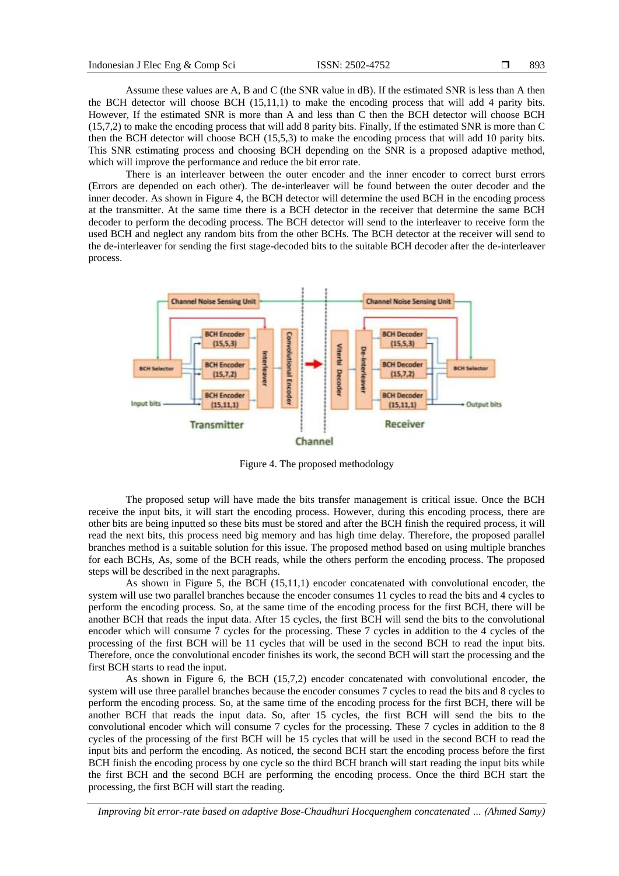Assume these values are A, B and C (the SNR value in dB). If the estimated SNR is less than A then the BCH detector will choose BCH (15,11,1) to make the encoding process that will add 4 parity bits. However, If the estimated SNR is more than A and less than C then the BCH detector will choose BCH (15,7,2) to make the encoding process that will add 8 parity bits. Finally, If the estimated SNR is more than C then the BCH detector will choose BCH (15,5,3) to make the encoding process that will add 10 parity bits. This SNR estimating process and choosing BCH depending on the SNR is a proposed adaptive method, which will improve the performance and reduce the bit error rate.

There is an interleaver between the outer encoder and the inner encoder to correct burst errors (Errors are depended on each other). The de-interleaver will be found between the outer decoder and the inner decoder. As shown in Figure 4, the BCH detector will determine the used BCH in the encoding process at the transmitter. At the same time there is a BCH detector in the receiver that determine the same BCH decoder to perform the decoding process. The BCH detector will send to the interleaver to receive form the used BCH and neglect any random bits from the other BCHs. The BCH detector at the receiver will send to the de-interleaver for sending the first stage-decoded bits to the suitable BCH decoder after the de-interleaver process.



Figure 4. The proposed methodology

The proposed setup will have made the bits transfer management is critical issue. Once the BCH receive the input bits, it will start the encoding process. However, during this encoding process, there are other bits are being inputted so these bits must be stored and after the BCH finish the required process, it will read the next bits, this process need big memory and has high time delay. Therefore, the proposed parallel branches method is a suitable solution for this issue. The proposed method based on using multiple branches for each BCHs, As, some of the BCH reads, while the others perform the encoding process. The proposed steps will be described in the next paragraphs.

As shown in Figure 5, the BCH (15,11,1) encoder concatenated with convolutional encoder, the system will use two parallel branches because the encoder consumes 11 cycles to read the bits and 4 cycles to perform the encoding process. So, at the same time of the encoding process for the first BCH, there will be another BCH that reads the input data. After 15 cycles, the first BCH will send the bits to the convolutional encoder which will consume 7 cycles for the processing. These 7 cycles in addition to the 4 cycles of the processing of the first BCH will be 11 cycles that will be used in the second BCH to read the input bits. Therefore, once the convolutional encoder finishes its work, the second BCH will start the processing and the first BCH starts to read the input.

As shown in Figure 6, the BCH (15,7,2) encoder concatenated with convolutional encoder, the system will use three parallel branches because the encoder consumes 7 cycles to read the bits and 8 cycles to perform the encoding process. So, at the same time of the encoding process for the first BCH, there will be another BCH that reads the input data. So, after 15 cycles, the first BCH will send the bits to the convolutional encoder which will consume 7 cycles for the processing. These 7 cycles in addition to the 8 cycles of the processing of the first BCH will be 15 cycles that will be used in the second BCH to read the input bits and perform the encoding. As noticed, the second BCH start the encoding process before the first BCH finish the encoding process by one cycle so the third BCH branch will start reading the input bits while the first BCH and the second BCH are performing the encoding process. Once the third BCH start the processing, the first BCH will start the reading.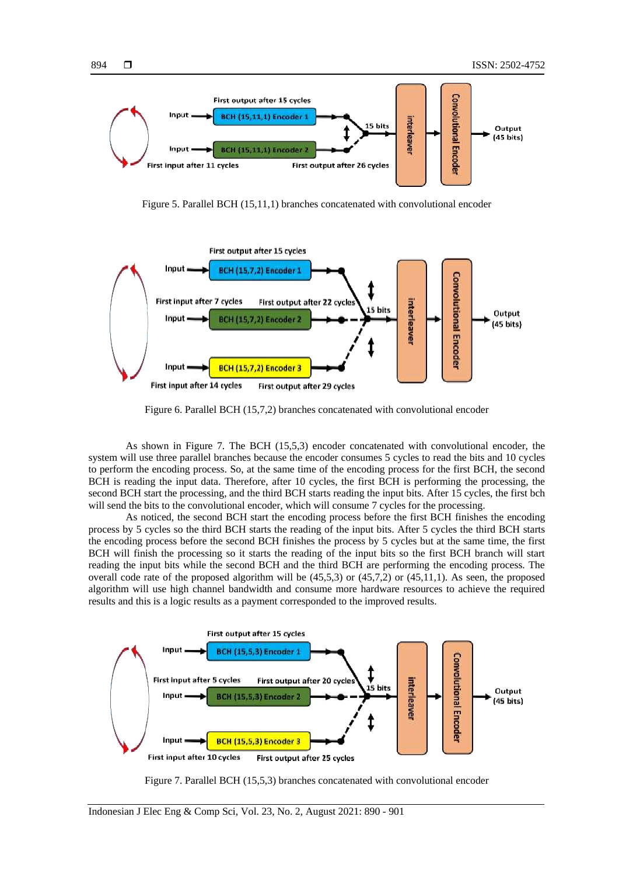

Figure 5. Parallel BCH (15,11,1) branches concatenated with convolutional encoder



Figure 6. Parallel BCH (15,7,2) branches concatenated with convolutional encoder

As shown in Figure 7. The BCH (15,5,3) encoder concatenated with convolutional encoder, the system will use three parallel branches because the encoder consumes 5 cycles to read the bits and 10 cycles to perform the encoding process. So, at the same time of the encoding process for the first BCH, the second BCH is reading the input data. Therefore, after 10 cycles, the first BCH is performing the processing, the second BCH start the processing, and the third BCH starts reading the input bits. After 15 cycles, the first bch will send the bits to the convolutional encoder, which will consume 7 cycles for the processing.

As noticed, the second BCH start the encoding process before the first BCH finishes the encoding process by 5 cycles so the third BCH starts the reading of the input bits. After 5 cycles the third BCH starts the encoding process before the second BCH finishes the process by 5 cycles but at the same time, the first BCH will finish the processing so it starts the reading of the input bits so the first BCH branch will start reading the input bits while the second BCH and the third BCH are performing the encoding process. The overall code rate of the proposed algorithm will be  $(45,5,3)$  or  $(45,7,2)$  or  $(45,11,1)$ . As seen, the proposed algorithm will use high channel bandwidth and consume more hardware resources to achieve the required results and this is a logic results as a payment corresponded to the improved results.



Figure 7. Parallel BCH (15,5,3) branches concatenated with convolutional encoder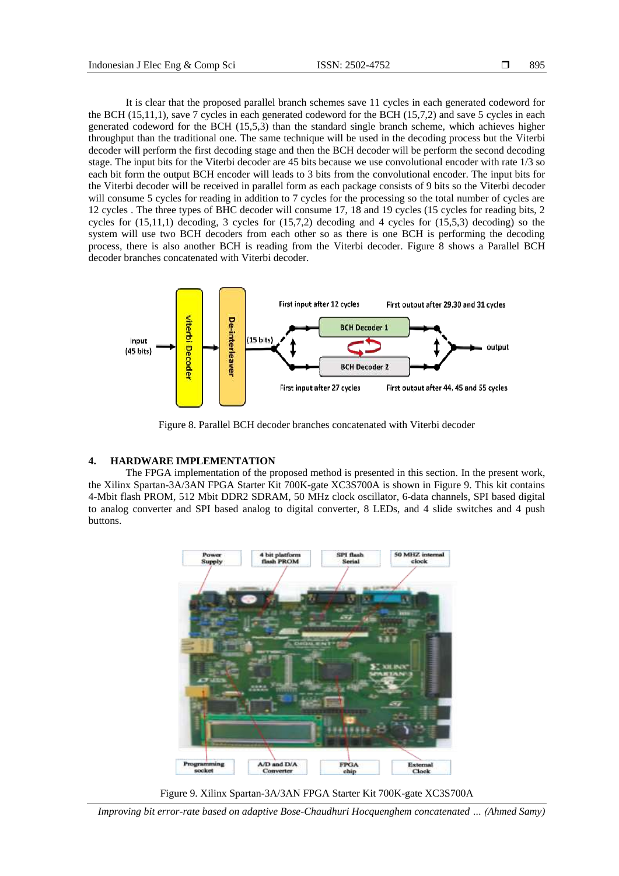It is clear that the proposed parallel branch schemes save 11 cycles in each generated codeword for the BCH (15,11,1), save 7 cycles in each generated codeword for the BCH (15,7,2) and save 5 cycles in each generated codeword for the BCH (15,5,3) than the standard single branch scheme, which achieves higher throughput than the traditional one. The same technique will be used in the decoding process but the Viterbi decoder will perform the first decoding stage and then the BCH decoder will be perform the second decoding stage. The input bits for the Viterbi decoder are 45 bits because we use convolutional encoder with rate 1/3 so each bit form the output BCH encoder will leads to 3 bits from the convolutional encoder. The input bits for the Viterbi decoder will be received in parallel form as each package consists of 9 bits so the Viterbi decoder will consume 5 cycles for reading in addition to 7 cycles for the processing so the total number of cycles are 12 cycles . The three types of BHC decoder will consume 17, 18 and 19 cycles (15 cycles for reading bits, 2 cycles for  $(15,11,1)$  decoding, 3 cycles for  $(15,7,2)$  decoding and 4 cycles for  $(15,5,3)$  decoding) so the system will use two BCH decoders from each other so as there is one BCH is performing the decoding process, there is also another BCH is reading from the Viterbi decoder. Figure 8 shows a Parallel BCH decoder branches concatenated with Viterbi decoder.



Figure 8. Parallel BCH decoder branches concatenated with Viterbi decoder

# **4. HARDWARE IMPLEMENTATION**

The FPGA implementation of the proposed method is presented in this section. In the present work, the Xilinx Spartan-3A/3AN FPGA Starter Kit 700K-gate XC3S700A is shown in Figure 9. This kit contains 4-Mbit flash PROM, 512 Mbit DDR2 SDRAM, 50 MHz clock oscillator, 6-data channels, SPI based digital to analog converter and SPI based analog to digital converter, 8 LEDs, and 4 slide switches and 4 push buttons.



Figure 9. Xilinx Spartan-3A/3AN FPGA Starter Kit 700K-gate XC3S700A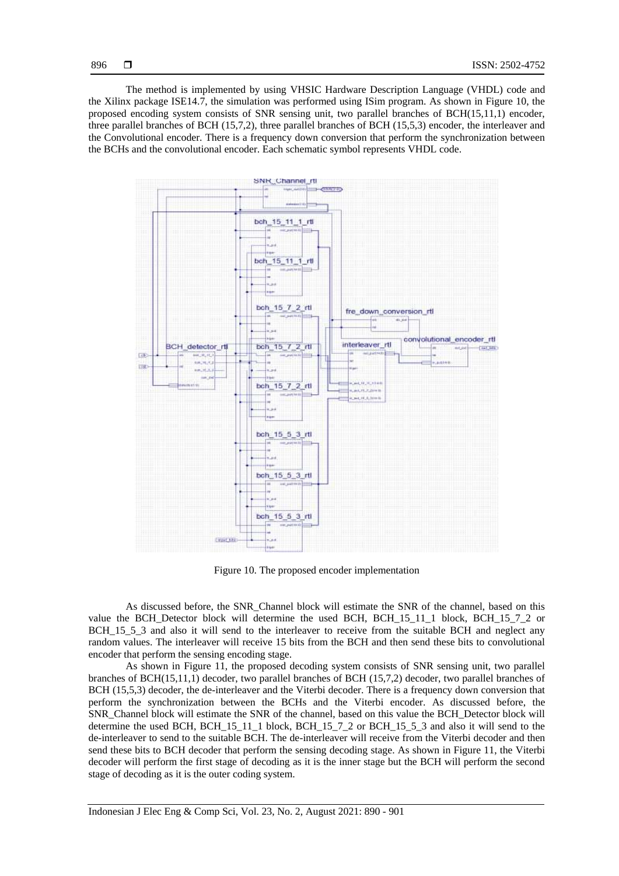The method is implemented by using VHSIC Hardware Description Language (VHDL) code and the Xilinx package ISE14.7, the simulation was performed using ISim program. As shown in Figure 10, the proposed encoding system consists of SNR sensing unit, two parallel branches of BCH(15,11,1) encoder, three parallel branches of BCH (15,7,2), three parallel branches of BCH (15,5,3) encoder, the interleaver and the Convolutional encoder. There is a frequency down conversion that perform the synchronization between the BCHs and the convolutional encoder. Each schematic symbol represents VHDL code.



Figure 10. The proposed encoder implementation

As discussed before, the SNR\_Channel block will estimate the SNR of the channel, based on this value the BCH\_Detector block will determine the used BCH, BCH\_15\_11\_1 block, BCH\_15\_7\_2 or BCH 15 5 3 and also it will send to the interleaver to receive from the suitable BCH and neglect any random values. The interleaver will receive 15 bits from the BCH and then send these bits to convolutional encoder that perform the sensing encoding stage.

As shown in Figure 11, the proposed decoding system consists of SNR sensing unit, two parallel branches of BCH(15,11,1) decoder, two parallel branches of BCH (15,7,2) decoder, two parallel branches of BCH (15,5,3) decoder, the de-interleaver and the Viterbi decoder. There is a frequency down conversion that perform the synchronization between the BCHs and the Viterbi encoder. As discussed before, the SNR\_Channel block will estimate the SNR of the channel, based on this value the BCH\_Detector block will determine the used BCH, BCH\_15\_11\_1 block, BCH\_15\_7\_2 or BCH\_15\_5\_3 and also it will send to the de-interleaver to send to the suitable BCH. The de-interleaver will receive from the Viterbi decoder and then send these bits to BCH decoder that perform the sensing decoding stage. As shown in Figure 11, the Viterbi decoder will perform the first stage of decoding as it is the inner stage but the BCH will perform the second stage of decoding as it is the outer coding system.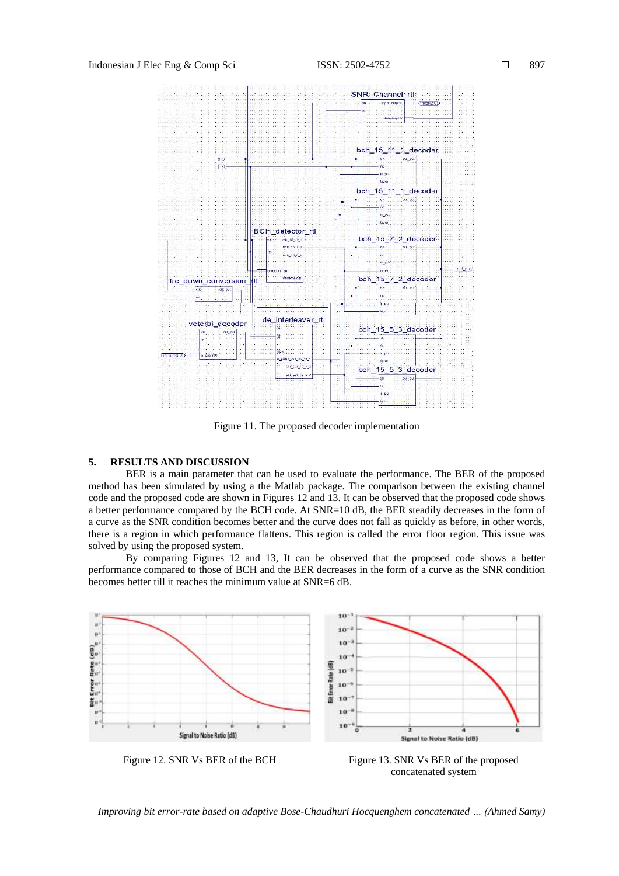

Figure 11. The proposed decoder implementation

## **5. RESULTS AND DISCUSSION**

BER is a main parameter that can be used to evaluate the performance. The BER of the proposed method has been simulated by using a the Matlab package. The comparison between the existing channel code and the proposed code are shown in Figures 12 and 13. It can be observed that the proposed code shows a better performance compared by the BCH code. At SNR=10 dB, the BER steadily decreases in the form of a curve as the [SNR](https://en.wikipedia.org/wiki/Signal-to-noise_ratio) condition becomes better and the curve does not fall as quickly as before, in other words, there is a region in which performance flattens. This region is called the error floor region. This issue was solved by using the proposed system.

By comparing Figures 12 and 13, It can be observed that the proposed code shows a better performance compared to those of BCH and the BER decreases in the form of a curve as the [SNR](https://en.wikipedia.org/wiki/Signal-to-noise_ratio) condition becomes better till it reaches the minimum value at SNR=6 dB.



Figure 12. SNR Vs BER of the BCH Figure 13. SNR Vs BER of the proposed concatenated system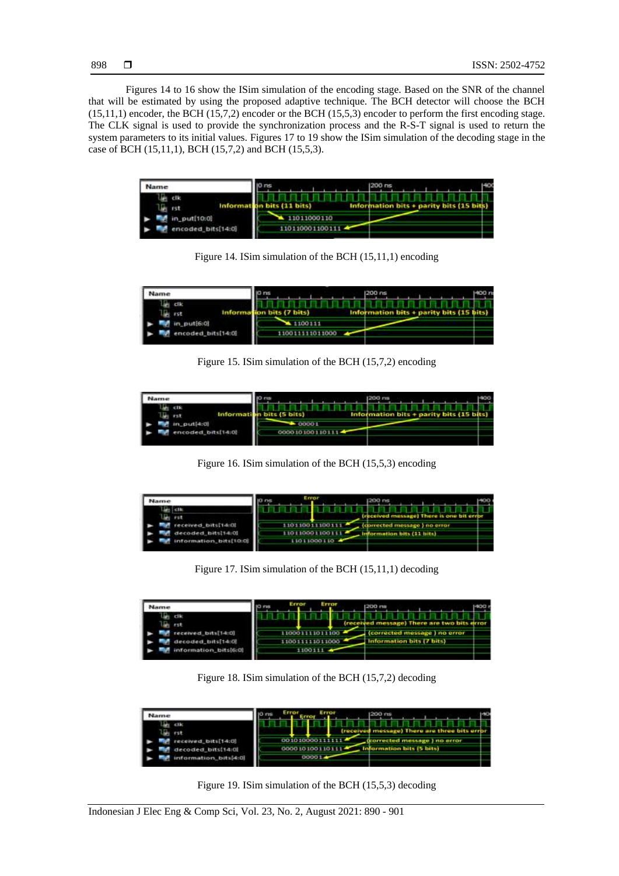Figures 14 to 16 show the ISim simulation of the encoding stage. Based on the SNR of the channel that will be estimated by using the proposed adaptive technique. The BCH detector will choose the BCH (15,11,1) encoder, the BCH (15,7,2) encoder or the BCH (15,5,3) encoder to perform the first encoding stage. The CLK signal is used to provide the synchronization process and the R-S-T signal is used to return the system parameters to its initial values. Figures 17 to 19 show the ISim simulation of the decoding stage in the case of BCH (15,11,1), BCH (15,7,2) and BCH (15,5,3).

| Name                       |                   | 200 ns                                  | 40 |
|----------------------------|-------------------|-----------------------------------------|----|
| clk<br>Informa<br>ы<br>rst |                   | Information bits + parity bits (15 bit) |    |
| in_put[10:0]<br>ı.         | 11011000110       |                                         |    |
| encoded_bits[14:0]         | 11011000110011174 |                                         |    |

Figure 14. ISim simulation of the BCH (15,11,1) encoding

| Name               |         | 200 ns                               | 400 n |
|--------------------|---------|--------------------------------------|-------|
| clic<br>するき        |         | Information bits + parity bits (15 } |       |
| put[6:0]           | 100111  |                                      |       |
| encoded_bits[14:0] | 1011000 |                                      |       |

Figure 15. ISim simulation of the BCH (15,7,2) encoding

| <b>ATTS47</b>      |                  | 1200 ms                                  |  |
|--------------------|------------------|------------------------------------------|--|
| <b>CITS</b><br>rst |                  | Information bits + parity bits (15 bits) |  |
| in put[4:0)        | 00001            |                                          |  |
| ncoded_bits[14:0]  | 0000101001101114 |                                          |  |

Figure 16. ISim simulation of the BCH (15,5,3) encoding



Figure 17. ISim simulation of the BCH (15,11,1) decoding

| <b>Name</b>                             | Error<br>17100  | <b>200 ms</b>            |                                       | 400 |
|-----------------------------------------|-----------------|--------------------------|---------------------------------------|-----|
| le cik<br>rst                           |                 |                          | (received message) There are two bits |     |
| ceived bits[14:0]<br>decoded bits[14:0] | 110011111011000 | nformation bits (7 bits) | (corrected message) no error          |     |
| information_bits[6:0]                   |                 |                          |                                       |     |

Figure 18. ISim simulation of the BCH (15,7,2) decoding

| Name                   | Eastus     |                                                |
|------------------------|------------|------------------------------------------------|
|                        |            | (received message) There are three bits error. |
| received bits[14:0]    | 0010100001 | (corrected message ) no error                  |
| decoded bits[14:0]     |            | formation bits (5 bits)                        |
| information, bits[4:0] | 00001      |                                                |

Figure 19. ISim simulation of the BCH (15,5,3) decoding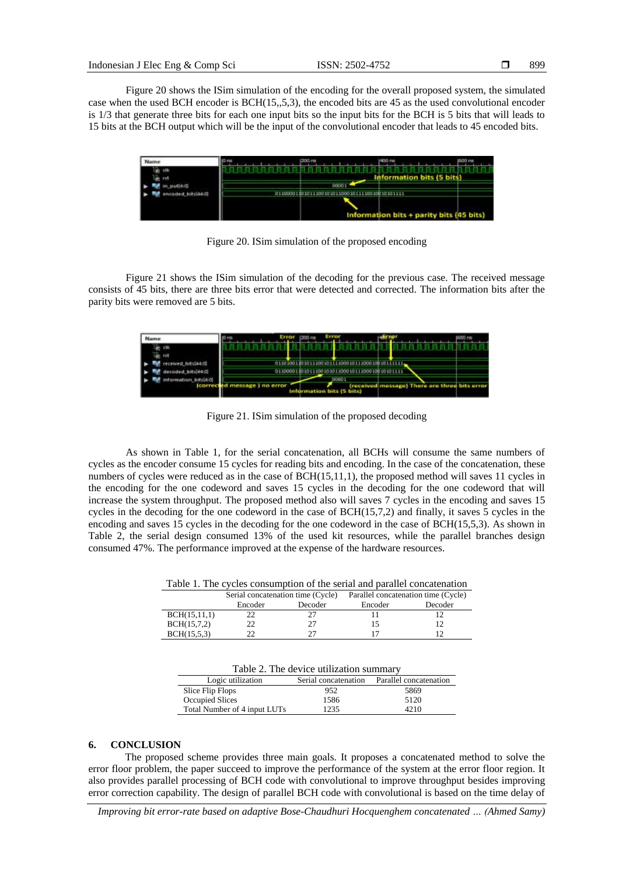Figure 20 shows the ISim simulation of the encoding for the overall proposed system, the simulated case when the used BCH encoder is BCH(15,,5,3), the encoded bits are 45 as the used convolutional encoder is 1/3 that generate three bits for each one input bits so the input bits for the BCH is 5 bits that will leads to 15 bits at the BCH output which will be the input of the convolutional encoder that leads to 45 encoded bits.

| Name       |  | <b>ID</b> rus | (200 ms)                  | H00 ms                                   | 600 ms |
|------------|--|---------------|---------------------------|------------------------------------------|--------|
|            |  |               |                           | <b>Information bits (5 bits)</b>         |        |
|            |  |               | 00001                     |                                          |        |
| hits[44:0] |  | 01100001      | 1100010111100100100101111 |                                          |        |
|            |  |               |                           | Information bits + parity bits (45 bits) |        |

Figure 20. ISim simulation of the proposed encoding

Figure 21 shows the ISim simulation of the decoding for the previous case. The received message consists of 45 bits, there are three bits error that were detected and corrected. The information bits after the parity bits were removed are 5 bits.

| Name                                      | Error<br>Error<br>200 ns                                                                                            |  |
|-------------------------------------------|---------------------------------------------------------------------------------------------------------------------|--|
| received bits[44.0]<br>detoded http://4cc | 013000018010113001030130001011300010010101111                                                                       |  |
| information bits(4:0)<br>fcorrect         | 00001<br>(received message) There are three bits error<br>ed message ) no error<br><b>Information bits (5 bits)</b> |  |

Figure 21. ISim simulation of the proposed decoding

As shown in Table 1, for the serial concatenation, all BCHs will consume the same numbers of cycles as the encoder consume 15 cycles for reading bits and encoding. In the case of the concatenation, these numbers of cycles were reduced as in the case of BCH(15,11,1), the proposed method will saves 11 cycles in the encoding for the one codeword and saves 15 cycles in the decoding for the one codeword that will increase the system throughput. The proposed method also will saves 7 cycles in the encoding and saves 15 cycles in the decoding for the one codeword in the case of BCH(15,7,2) and finally, it saves 5 cycles in the encoding and saves 15 cycles in the decoding for the one codeword in the case of BCH(15,5,3). As shown in Table 2, the serial design consumed 13% of the used kit resources, while the parallel branches design consumed 47%. The performance improved at the expense of the hardware resources.

|              | Serial concatenation time (Cycle) |         | Parallel concatenation time (Cycle) |         |
|--------------|-----------------------------------|---------|-------------------------------------|---------|
|              | Encoder                           | Decoder | Encoder                             | Decoder |
| BCH(15,11,1) |                                   |         |                                     |         |
| BCH(15,7,2)  |                                   | 27      |                                     |         |
| BCH(15,5,3)  |                                   |         |                                     |         |

|                   | Table 2. The device utilization summary |                                             |
|-------------------|-----------------------------------------|---------------------------------------------|
| Logic utilization |                                         | Serial concatenation Parallel concatenation |
| _______           |                                         |                                             |

| LUEIV UIHILUIJUI             | эспаг сонсактанон | a analist concatenation |
|------------------------------|-------------------|-------------------------|
| Slice Flip Flops             | 952               | 5869                    |
| Occupied Slices              | 1586              | 5120                    |
| Total Number of 4 input LUTs | 1235              | 4210                    |
|                              |                   |                         |

#### **6. CONCLUSION**

The proposed scheme provides three main goals. It proposes a concatenated method to solve the error floor problem, the paper succeed to improve the performance of the system at the error floor region. It also provides parallel processing of BCH code with convolutional to improve throughput besides improving error correction capability. The design of parallel BCH code with convolutional is based on the time delay of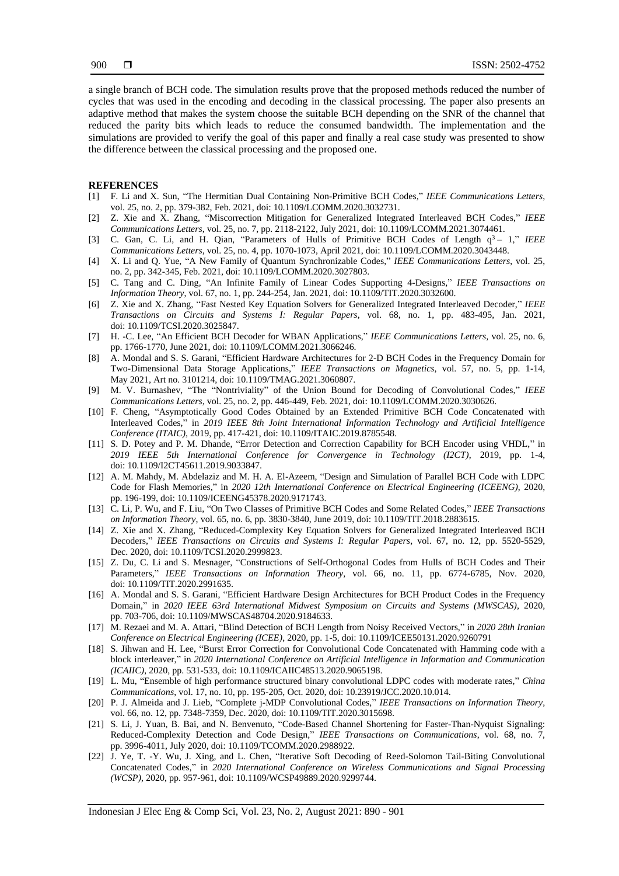a single branch of BCH code. The simulation results prove that the proposed methods reduced the number of cycles that was used in the encoding and decoding in the classical processing. The paper also presents an adaptive method that makes the system choose the suitable BCH depending on the SNR of the channel that reduced the parity bits which leads to reduce the consumed bandwidth. The implementation and the simulations are provided to verify the goal of this paper and finally a real case study was presented to show the difference between the classical processing and the proposed one.

#### **REFERENCES**

- [1] F. Li and X. Sun, "The Hermitian Dual Containing Non-Primitive BCH Codes," *IEEE Communications Letters*, vol. 25, no. 2, pp. 379-382, Feb. 2021, doi: 10.1109/LCOMM.2020.3032731.
- [2] Z. Xie and X. Zhang, "Miscorrection Mitigation for Generalized Integrated Interleaved BCH Codes," *IEEE Communications Letters*, vol. 25, no. 7, pp. 2118-2122, July 2021, doi: 10.1109/LCOMM.2021.3074461.
- [3] C. Gan, C. Li, and H. Qian, "Parameters of Hulls of Primitive BCH Codes of Length q<sup>3</sup> 1," *IEEE Communications Letters*, vol. 25, no. 4, pp. 1070-1073, April 2021, doi: 10.1109/LCOMM.2020.3043448.
- [4] X. Li and Q. Yue, "A New Family of Quantum Synchronizable Codes," *IEEE Communications Letters*, vol. 25, no. 2, pp. 342-345, Feb. 2021, doi: 10.1109/LCOMM.2020.3027803.
- [5] C. Tang and C. Ding, "An Infinite Family of Linear Codes Supporting 4-Designs," *IEEE Transactions on Information Theory*, vol. 67, no. 1, pp. 244-254, Jan. 2021, doi: 10.1109/TIT.2020.3032600.
- [6] Z. Xie and X. Zhang, "Fast Nested Key Equation Solvers for Generalized Integrated Interleaved Decoder," *IEEE Transactions on Circuits and Systems I: Regular Papers*, vol. 68, no. 1, pp. 483-495, Jan. 2021, doi: 10.1109/TCSI.2020.3025847.
- [7] H. -C. Lee, "An Efficient BCH Decoder for WBAN Applications," *IEEE Communications Letters*, vol. 25, no. 6, pp. 1766-1770, June 2021, doi: 10.1109/LCOMM.2021.3066246.
- [8] A. Mondal and S. S. Garani, "Efficient Hardware Architectures for 2-D BCH Codes in the Frequency Domain for Two-Dimensional Data Storage Applications," *IEEE Transactions on Magnetics*, vol. 57, no. 5, pp. 1-14, May 2021, Art no. 3101214, doi: 10.1109/TMAG.2021.3060807.
- [9] M. V. Burnashev, "The "Nontriviality" of the Union Bound for Decoding of Convolutional Codes," *IEEE Communications Letters*, vol. 25, no. 2, pp. 446-449, Feb. 2021, doi: 10.1109/LCOMM.2020.3030626.
- [10] F. Cheng, "Asymptotically Good Codes Obtained by an Extended Primitive BCH Code Concatenated with Interleaved Codes," in *2019 IEEE 8th Joint International Information Technology and Artificial Intelligence Conference (ITAIC)*, 2019, pp. 417-421, doi: 10.1109/ITAIC.2019.8785548.
- [11] S. D. Potey and P. M. Dhande, "Error Detection and Correction Capability for BCH Encoder using VHDL," in *2019 IEEE 5th International Conference for Convergence in Technology (I2CT)*, 2019, pp. 1-4, doi: 10.1109/I2CT45611.2019.9033847.
- [12] A. M. Mahdy, M. Abdelaziz and M. H. A. El-Azeem, "Design and Simulation of Parallel BCH Code with LDPC Code for Flash Memories," in *2020 12th International Conference on Electrical Engineering (ICEENG)*, 2020, pp. 196-199, doi: 10.1109/ICEENG45378.2020.9171743.
- [13] C. Li, P. Wu, and F. Liu, "On Two Classes of Primitive BCH Codes and Some Related Codes," *IEEE Transactions on Information Theory*, vol. 65, no. 6, pp. 3830-3840, June 2019, doi: 10.1109/TIT.2018.2883615.
- [14] Z. Xie and X. Zhang, "Reduced-Complexity Key Equation Solvers for Generalized Integrated Interleaved BCH Decoders," *IEEE Transactions on Circuits and Systems I: Regular Papers*, vol. 67, no. 12, pp. 5520-5529, Dec. 2020, doi: 10.1109/TCSI.2020.2999823.
- [15] Z. Du, C. Li and S. Mesnager, "Constructions of Self-Orthogonal Codes from Hulls of BCH Codes and Their Parameters," *IEEE Transactions on Information Theory*, vol. 66, no. 11, pp. 6774-6785, Nov. 2020, doi: 10.1109/TIT.2020.2991635.
- [16] A. Mondal and S. S. Garani, "Efficient Hardware Design Architectures for BCH Product Codes in the Frequency Domain," in *2020 IEEE 63rd International Midwest Symposium on Circuits and Systems (MWSCAS)*, 2020, pp. 703-706, doi: 10.1109/MWSCAS48704.2020.9184633.
- [17] M. Rezaei and M. A. Attari, "Blind Detection of BCH Length from Noisy Received Vectors," in *2020 28th Iranian Conference on Electrical Engineering (ICEE)*, 2020, pp. 1-5, doi: 10.1109/ICEE50131.2020.9260791
- [18] S. Jihwan and H. Lee, "Burst Error Correction for Convolutional Code Concatenated with Hamming code with a block interleaver," in *2020 International Conference on Artificial Intelligence in Information and Communication (ICAIIC)*, 2020, pp. 531-533, doi: 10.1109/ICAIIC48513.2020.9065198.
- [19] L. Mu, "Ensemble of high performance structured binary convolutional LDPC codes with moderate rates," *China Communications*, vol. 17, no. 10, pp. 195-205, Oct. 2020, doi: 10.23919/JCC.2020.10.014.
- [20] P. J. Almeida and J. Lieb, "Complete j-MDP Convolutional Codes," *IEEE Transactions on Information Theory*, vol. 66, no. 12, pp. 7348-7359, Dec. 2020, doi: 10.1109/TIT.2020.3015698.
- [21] S. Li, J. Yuan, B. Bai, and N. Benvenuto, "Code-Based Channel Shortening for Faster-Than-Nyquist Signaling: Reduced-Complexity Detection and Code Design," *IEEE Transactions on Communications*, vol. 68, no. 7, pp. 3996-4011, July 2020, doi: 10.1109/TCOMM.2020.2988922.
- [22] J. Ye, T. -Y. Wu, J. Xing, and L. Chen, "Iterative Soft Decoding of Reed-Solomon Tail-Biting Convolutional Concatenated Codes," in *2020 International Conference on Wireless Communications and Signal Processing (WCSP)*, 2020, pp. 957-961, doi: 10.1109/WCSP49889.2020.9299744.